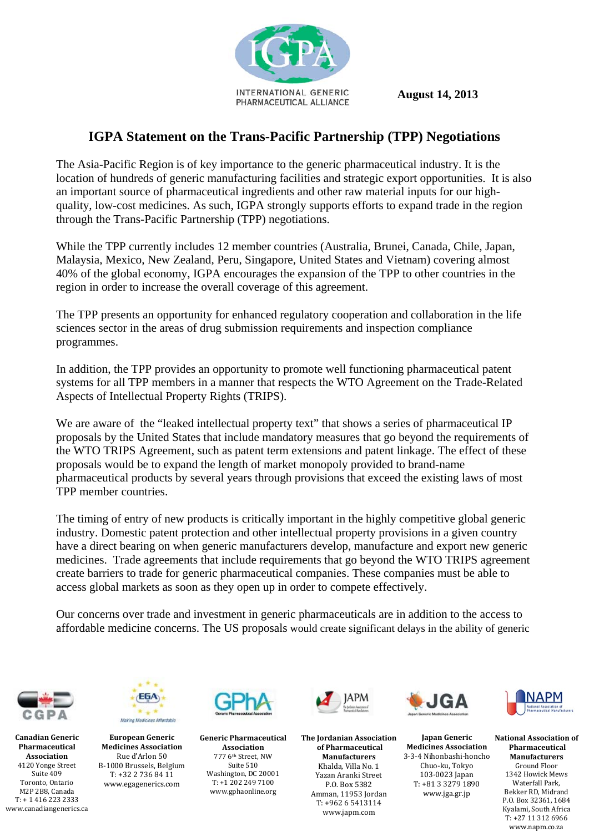

 **August 14, 2013** 

## **IGPA Statement on the Trans-Pacific Partnership (TPP) Negotiations**

The Asia-Pacific Region is of key importance to the generic pharmaceutical industry. It is the location of hundreds of generic manufacturing facilities and strategic export opportunities. It is also an important source of pharmaceutical ingredients and other raw material inputs for our highquality, low-cost medicines. As such, IGPA strongly supports efforts to expand trade in the region through the Trans-Pacific Partnership (TPP) negotiations.

While the TPP currently includes 12 member countries (Australia, Brunei, Canada, Chile, Japan, Malaysia, Mexico, New Zealand, Peru, Singapore, United States and Vietnam) covering almost 40% of the global economy, IGPA encourages the expansion of the TPP to other countries in the region in order to increase the overall coverage of this agreement.

The TPP presents an opportunity for enhanced regulatory cooperation and collaboration in the life sciences sector in the areas of drug submission requirements and inspection compliance programmes.

In addition, the TPP provides an opportunity to promote well functioning pharmaceutical patent systems for all TPP members in a manner that respects the WTO Agreement on the Trade-Related Aspects of Intellectual Property Rights (TRIPS).

We are aware of the "leaked intellectual property text" that shows a series of pharmaceutical IP proposals by the United States that include mandatory measures that go beyond the requirements of the WTO TRIPS Agreement, such as patent term extensions and patent linkage. The effect of these proposals would be to expand the length of market monopoly provided to brand-name pharmaceutical products by several years through provisions that exceed the existing laws of most TPP member countries.

The timing of entry of new products is critically important in the highly competitive global generic industry. Domestic patent protection and other intellectual property provisions in a given country have a direct bearing on when generic manufacturers develop, manufacture and export new generic medicines. Trade agreements that include requirements that go beyond the WTO TRIPS agreement create barriers to trade for generic pharmaceutical companies. These companies must be able to access global markets as soon as they open up in order to compete effectively.

Our concerns over trade and investment in generic pharmaceuticals are in addition to the access to affordable medicine concerns. The US proposals would create significant delays in the ability of generic



**Canadian Generic Pharmaceutical Association** 4120 Yonge Street Suite 409 Toronto, Ontario M<sub>2</sub>P<sub>2B8</sub>, Canada  $T· + 14162232333$ www.canadiangenerics.ca 



**European Generic Medicines Association** Rue d'Arlon 50 B-1000 Brussels, Belgium  $T: +32\ 2\ 736\ 84\ 11$ www.egagenerics.com



**Generic Pharmaceutical Association** 777 6th Street, NW Suite 510 Washington, DC 20001  $T: +1\,202\,249\,7100$ www.gphaonline.org 



**The Jordanian Association of Pharmaceutical Manufacturers** Khalda, Villa No. 1 Yazan Aranki Street P.O. Box 5382 Amman, 11953 Jordan  $T: +96265413114$ www.japm.com



**Japan Generic Medicines Association** 3‐3‐4 Nihonbashi‐honcho Chuo‐ku, Tokyo 103‐0023 Japan T: +81 3 3279 1890 www.jga.gr.jp



**National Association of Pharmaceutical Manufacturers**  Ground Floor 1342 Howick Mews Waterfall Park, Bekker RD, Midrand P.O. Box 32361, 1684 Kyalami, South Africa  $T: +27$  11 312 6966 www.napm.co.za